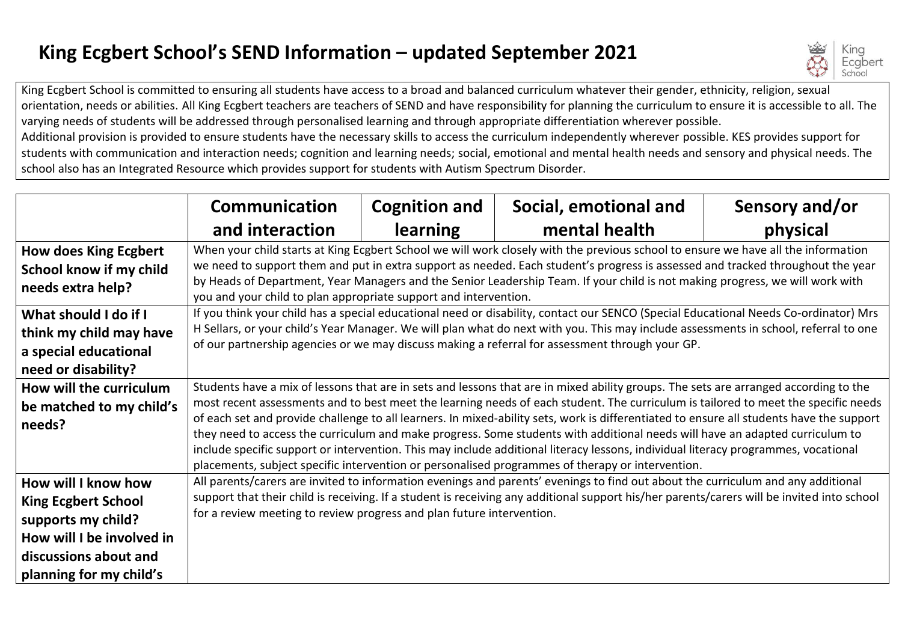## **King Ecgbert School's SEND Information – updated September 2021**



King Ecgbert School is committed to ensuring all students have access to a broad and balanced curriculum whatever their gender, ethnicity, religion, sexual orientation, needs or abilities. All King Ecgbert teachers are teachers of SEND and have responsibility for planning the curriculum to ensure it is accessible to all. The varying needs of students will be addressed through personalised learning and through appropriate differentiation wherever possible. Additional provision is provided to ensure students have the necessary skills to access the curriculum independently wherever possible. KES provides support for students with communication and interaction needs; cognition and learning needs; social, emotional and mental health needs and sensory and physical needs. The school also has an Integrated Resource which provides support for students with Autism Spectrum Disorder.

|                              | <b>Communication</b>                                                                                                                                                                                                                    | <b>Cognition and</b> | Social, emotional and                                                                                                        | Sensory and/or |  |
|------------------------------|-----------------------------------------------------------------------------------------------------------------------------------------------------------------------------------------------------------------------------------------|----------------------|------------------------------------------------------------------------------------------------------------------------------|----------------|--|
|                              | and interaction                                                                                                                                                                                                                         | <b>learning</b>      | mental health                                                                                                                | physical       |  |
| <b>How does King Ecgbert</b> | When your child starts at King Ecgbert School we will work closely with the previous school to ensure we have all the information                                                                                                       |                      |                                                                                                                              |                |  |
| School know if my child      | we need to support them and put in extra support as needed. Each student's progress is assessed and tracked throughout the year                                                                                                         |                      |                                                                                                                              |                |  |
| needs extra help?            | by Heads of Department, Year Managers and the Senior Leadership Team. If your child is not making progress, we will work with<br>you and your child to plan appropriate support and intervention.                                       |                      |                                                                                                                              |                |  |
|                              |                                                                                                                                                                                                                                         |                      |                                                                                                                              |                |  |
| What should I do if I        | If you think your child has a special educational need or disability, contact our SENCO (Special Educational Needs Co-ordinator) Mrs                                                                                                    |                      |                                                                                                                              |                |  |
| think my child may have      | H Sellars, or your child's Year Manager. We will plan what do next with you. This may include assessments in school, referral to one<br>of our partnership agencies or we may discuss making a referral for assessment through your GP. |                      |                                                                                                                              |                |  |
| a special educational        |                                                                                                                                                                                                                                         |                      |                                                                                                                              |                |  |
| need or disability?          |                                                                                                                                                                                                                                         |                      |                                                                                                                              |                |  |
| How will the curriculum      | Students have a mix of lessons that are in sets and lessons that are in mixed ability groups. The sets are arranged according to the                                                                                                    |                      |                                                                                                                              |                |  |
| be matched to my child's     | most recent assessments and to best meet the learning needs of each student. The curriculum is tailored to meet the specific needs                                                                                                      |                      |                                                                                                                              |                |  |
| needs?                       | of each set and provide challenge to all learners. In mixed-ability sets, work is differentiated to ensure all students have the support                                                                                                |                      |                                                                                                                              |                |  |
|                              |                                                                                                                                                                                                                                         |                      | they need to access the curriculum and make progress. Some students with additional needs will have an adapted curriculum to |                |  |
|                              | include specific support or intervention. This may include additional literacy lessons, individual literacy programmes, vocational                                                                                                      |                      |                                                                                                                              |                |  |
|                              | placements, subject specific intervention or personalised programmes of therapy or intervention.                                                                                                                                        |                      |                                                                                                                              |                |  |
| How will I know how          | All parents/carers are invited to information evenings and parents' evenings to find out about the curriculum and any additional                                                                                                        |                      |                                                                                                                              |                |  |
| <b>King Ecgbert School</b>   | support that their child is receiving. If a student is receiving any additional support his/her parents/carers will be invited into school                                                                                              |                      |                                                                                                                              |                |  |
| supports my child?           | for a review meeting to review progress and plan future intervention.                                                                                                                                                                   |                      |                                                                                                                              |                |  |
| How will I be involved in    |                                                                                                                                                                                                                                         |                      |                                                                                                                              |                |  |
| discussions about and        |                                                                                                                                                                                                                                         |                      |                                                                                                                              |                |  |
| planning for my child's      |                                                                                                                                                                                                                                         |                      |                                                                                                                              |                |  |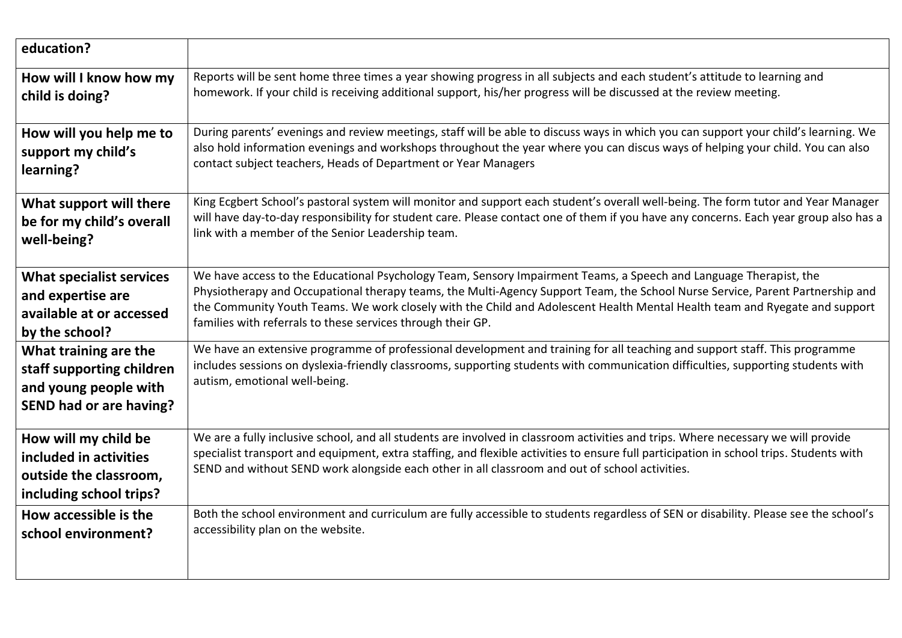| education?                                                                                                    |                                                                                                                                                                                                                                                                                                                                                                                |
|---------------------------------------------------------------------------------------------------------------|--------------------------------------------------------------------------------------------------------------------------------------------------------------------------------------------------------------------------------------------------------------------------------------------------------------------------------------------------------------------------------|
| How will I know how my                                                                                        | Reports will be sent home three times a year showing progress in all subjects and each student's attitude to learning and                                                                                                                                                                                                                                                      |
| child is doing?                                                                                               | homework. If your child is receiving additional support, his/her progress will be discussed at the review meeting.                                                                                                                                                                                                                                                             |
| How will you help me to                                                                                       | During parents' evenings and review meetings, staff will be able to discuss ways in which you can support your child's learning. We                                                                                                                                                                                                                                            |
| support my child's                                                                                            | also hold information evenings and workshops throughout the year where you can discus ways of helping your child. You can also                                                                                                                                                                                                                                                 |
| learning?                                                                                                     | contact subject teachers, Heads of Department or Year Managers                                                                                                                                                                                                                                                                                                                 |
| What support will there                                                                                       | King Ecgbert School's pastoral system will monitor and support each student's overall well-being. The form tutor and Year Manager                                                                                                                                                                                                                                              |
| be for my child's overall                                                                                     | will have day-to-day responsibility for student care. Please contact one of them if you have any concerns. Each year group also has a                                                                                                                                                                                                                                          |
| well-being?                                                                                                   | link with a member of the Senior Leadership team.                                                                                                                                                                                                                                                                                                                              |
| <b>What specialist services</b>                                                                               | We have access to the Educational Psychology Team, Sensory Impairment Teams, a Speech and Language Therapist, the                                                                                                                                                                                                                                                              |
| and expertise are                                                                                             | Physiotherapy and Occupational therapy teams, the Multi-Agency Support Team, the School Nurse Service, Parent Partnership and                                                                                                                                                                                                                                                  |
| available at or accessed                                                                                      | the Community Youth Teams. We work closely with the Child and Adolescent Health Mental Health team and Ryegate and support                                                                                                                                                                                                                                                     |
| by the school?                                                                                                | families with referrals to these services through their GP.                                                                                                                                                                                                                                                                                                                    |
| What training are the<br>staff supporting children<br>and young people with<br><b>SEND had or are having?</b> | We have an extensive programme of professional development and training for all teaching and support staff. This programme<br>includes sessions on dyslexia-friendly classrooms, supporting students with communication difficulties, supporting students with<br>autism, emotional well-being.                                                                                |
| How will my child be<br>included in activities<br>outside the classroom,<br>including school trips?           | We are a fully inclusive school, and all students are involved in classroom activities and trips. Where necessary we will provide<br>specialist transport and equipment, extra staffing, and flexible activities to ensure full participation in school trips. Students with<br>SEND and without SEND work alongside each other in all classroom and out of school activities. |
| How accessible is the                                                                                         | Both the school environment and curriculum are fully accessible to students regardless of SEN or disability. Please see the school's                                                                                                                                                                                                                                           |
| school environment?                                                                                           | accessibility plan on the website.                                                                                                                                                                                                                                                                                                                                             |